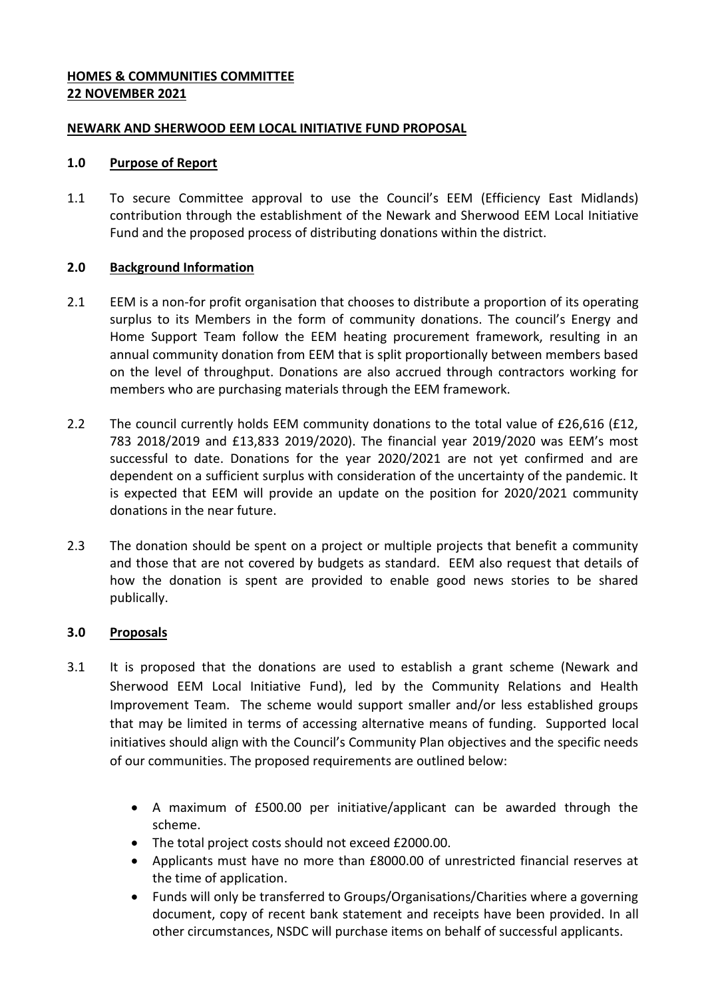# **HOMES & COMMUNITIES COMMITTEE 22 NOVEMBER 2021**

# **NEWARK AND SHERWOOD EEM LOCAL INITIATIVE FUND PROPOSAL**

### **1.0 Purpose of Report**

1.1 To secure Committee approval to use the Council's EEM (Efficiency East Midlands) contribution through the establishment of the Newark and Sherwood EEM Local Initiative Fund and the proposed process of distributing donations within the district.

# **2.0 Background Information**

- 2.1 EEM is a non-for profit organisation that chooses to distribute a proportion of its operating surplus to its Members in the form of community donations. The council's Energy and Home Support Team follow the EEM heating procurement framework, resulting in an annual community donation from EEM that is split proportionally between members based on the level of throughput. Donations are also accrued through contractors working for members who are purchasing materials through the EEM framework.
- 2.2 The council currently holds EEM community donations to the total value of £26,616 (£12, 783 2018/2019 and £13,833 2019/2020). The financial year 2019/2020 was EEM's most successful to date. Donations for the year 2020/2021 are not yet confirmed and are dependent on a sufficient surplus with consideration of the uncertainty of the pandemic. It is expected that EEM will provide an update on the position for 2020/2021 community donations in the near future.
- 2.3 The donation should be spent on a project or multiple projects that benefit a community and those that are not covered by budgets as standard. EEM also request that details of how the donation is spent are provided to enable good news stories to be shared publically.

# **3.0 Proposals**

- 3.1 It is proposed that the donations are used to establish a grant scheme (Newark and Sherwood EEM Local Initiative Fund), led by the Community Relations and Health Improvement Team. The scheme would support smaller and/or less established groups that may be limited in terms of accessing alternative means of funding. Supported local initiatives should align with the Council's Community Plan objectives and the specific needs of our communities. The proposed requirements are outlined below:
	- A maximum of £500.00 per initiative/applicant can be awarded through the scheme.
	- The total project costs should not exceed £2000.00.
	- Applicants must have no more than £8000.00 of unrestricted financial reserves at the time of application.
	- Funds will only be transferred to Groups/Organisations/Charities where a governing document, copy of recent bank statement and receipts have been provided. In all other circumstances, NSDC will purchase items on behalf of successful applicants.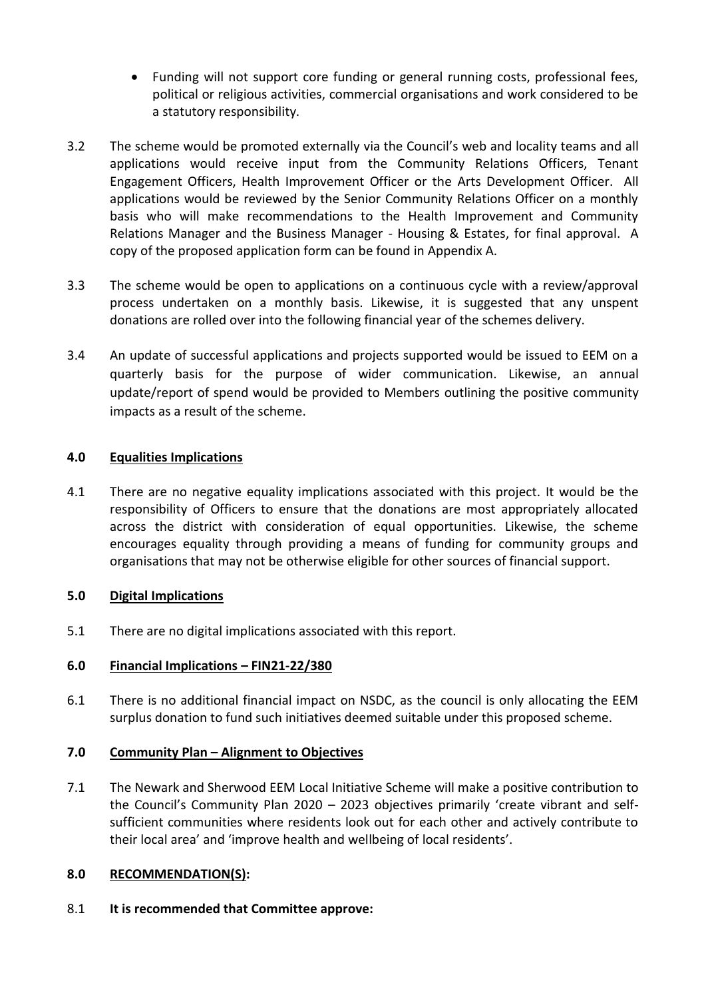- Funding will not support core funding or general running costs, professional fees, political or religious activities, commercial organisations and work considered to be a statutory responsibility.
- 3.2 The scheme would be promoted externally via the Council's web and locality teams and all applications would receive input from the Community Relations Officers, Tenant Engagement Officers, Health Improvement Officer or the Arts Development Officer. All applications would be reviewed by the Senior Community Relations Officer on a monthly basis who will make recommendations to the Health Improvement and Community Relations Manager and the Business Manager - Housing & Estates, for final approval. A copy of the proposed application form can be found in Appendix A.
- 3.3 The scheme would be open to applications on a continuous cycle with a review/approval process undertaken on a monthly basis. Likewise, it is suggested that any unspent donations are rolled over into the following financial year of the schemes delivery.
- 3.4 An update of successful applications and projects supported would be issued to EEM on a quarterly basis for the purpose of wider communication. Likewise, an annual update/report of spend would be provided to Members outlining the positive community impacts as a result of the scheme.

# **4.0 Equalities Implications**

4.1 There are no negative equality implications associated with this project. It would be the responsibility of Officers to ensure that the donations are most appropriately allocated across the district with consideration of equal opportunities. Likewise, the scheme encourages equality through providing a means of funding for community groups and organisations that may not be otherwise eligible for other sources of financial support.

### **5.0 Digital Implications**

5.1 There are no digital implications associated with this report.

### **6.0 Financial Implications – FIN21-22/380**

6.1 There is no additional financial impact on NSDC, as the council is only allocating the EEM surplus donation to fund such initiatives deemed suitable under this proposed scheme.

### **7.0 Community Plan – Alignment to Objectives**

7.1 The Newark and Sherwood EEM Local Initiative Scheme will make a positive contribution to the Council's Community Plan 2020 – 2023 objectives primarily 'create vibrant and selfsufficient communities where residents look out for each other and actively contribute to their local area' and 'improve health and wellbeing of local residents'.

### **8.0 RECOMMENDATION(S):**

8.1 **It is recommended that Committee approve:**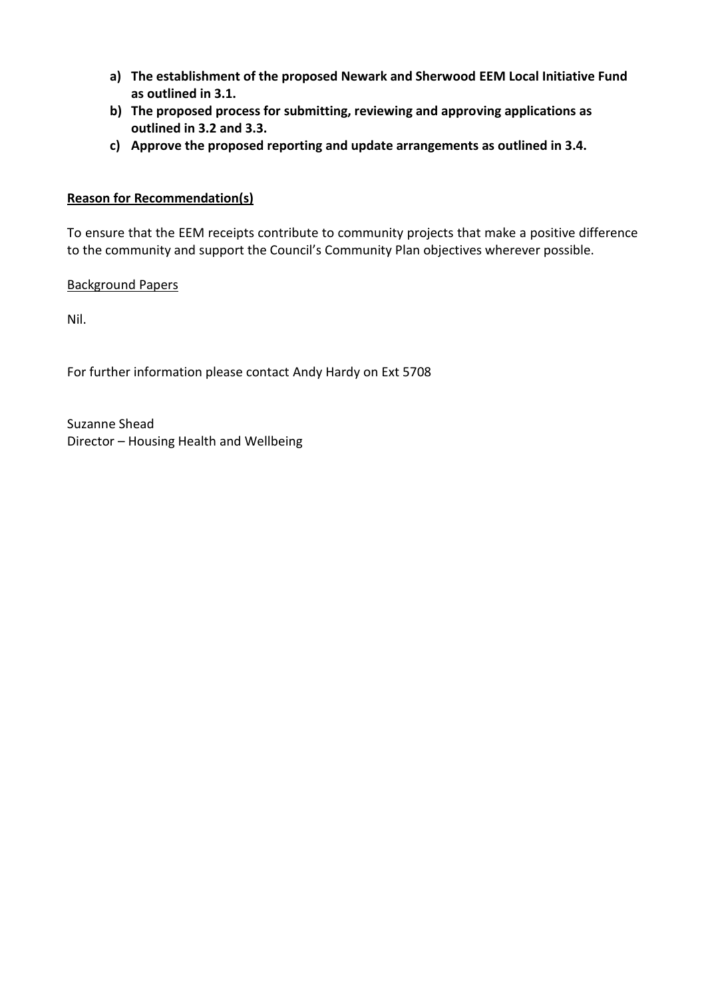- **a) The establishment of the proposed Newark and Sherwood EEM Local Initiative Fund as outlined in 3.1.**
- **b) The proposed process for submitting, reviewing and approving applications as outlined in 3.2 and 3.3.**
- **c) Approve the proposed reporting and update arrangements as outlined in 3.4.**

# **Reason for Recommendation(s)**

To ensure that the EEM receipts contribute to community projects that make a positive difference to the community and support the Council's Community Plan objectives wherever possible.

Background Papers

Nil.

For further information please contact Andy Hardy on Ext 5708

Suzanne Shead Director – Housing Health and Wellbeing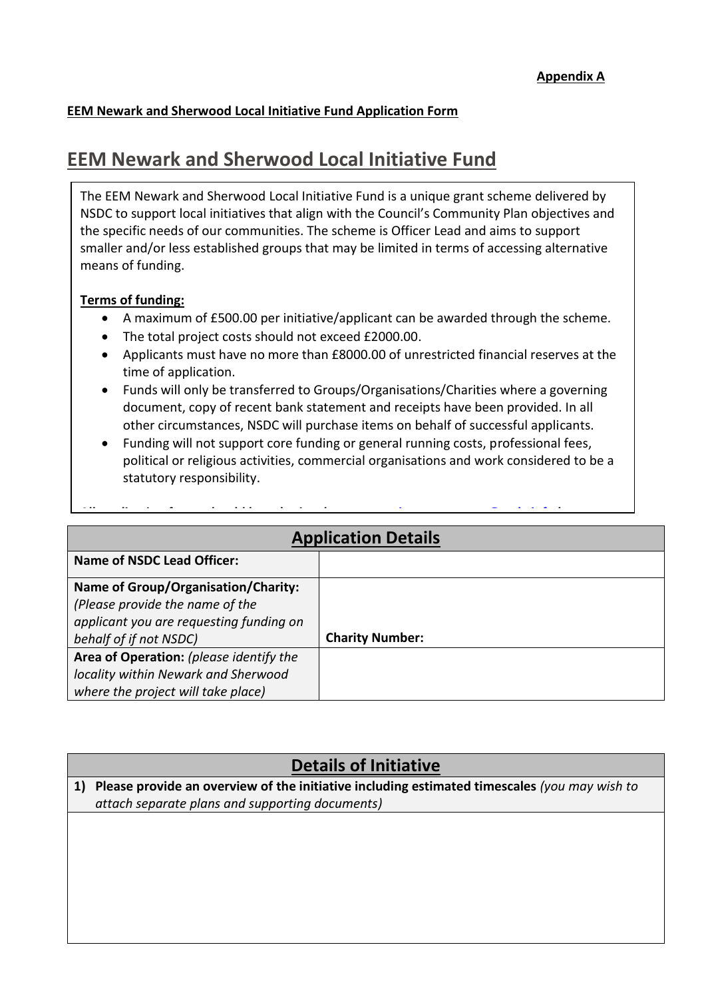# **EEM Newark and Sherwood Local Initiative Fund Application Form**

# **EEM Newark and Sherwood Local Initiative Fund**

The EEM Newark and Sherwood Local Initiative Fund is a unique grant scheme delivered by NSDC to support local initiatives that align with the Council's Community Plan objectives and the specific needs of our communities. The scheme is Officer Lead and aims to support smaller and/or less established groups that may be limited in terms of accessing alternative means of funding.

# **Terms of funding:**

- A maximum of £500.00 per initiative/applicant can be awarded through the scheme.
- The total project costs should not exceed £2000.00.
- Applicants must have no more than £8000.00 of unrestricted financial reserves at the time of application.
- Funds will only be transferred to Groups/Organisations/Charities where a governing document, copy of recent bank statement and receipts have been provided. In all other circumstances, NSDC will purchase items on behalf of successful applicants.
- Funding will not support core funding or general running costs, professional fees, political or religious activities, commercial organisations and work considered to be a statutory responsibility.

| <b>Application Details</b>                 |                        |  |  |  |
|--------------------------------------------|------------------------|--|--|--|
| <b>Name of NSDC Lead Officer:</b>          |                        |  |  |  |
| <b>Name of Group/Organisation/Charity:</b> |                        |  |  |  |
| (Please provide the name of the            |                        |  |  |  |
| applicant you are requesting funding on    |                        |  |  |  |
| behalf of if not NSDC)                     | <b>Charity Number:</b> |  |  |  |
| Area of Operation: (please identify the    |                        |  |  |  |
| locality within Newark and Sherwood        |                        |  |  |  |
| where the project will take place)         |                        |  |  |  |

# **Details of Initiative**

**1) Please provide an overview of the initiative including estimated timescales** *(you may wish to attach separate plans and supporting documents)*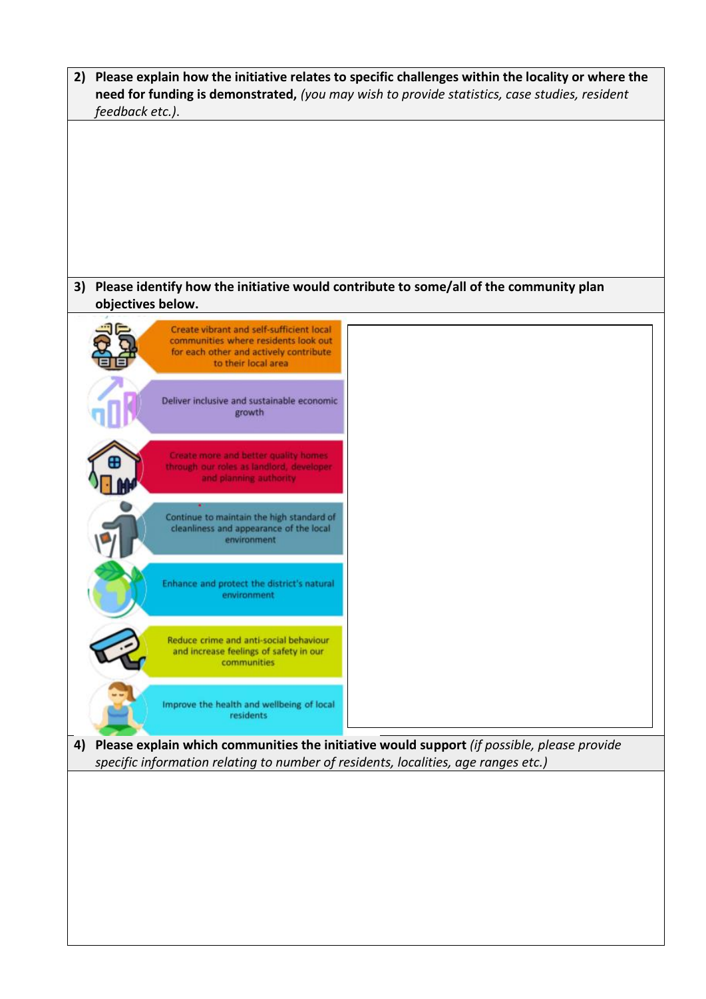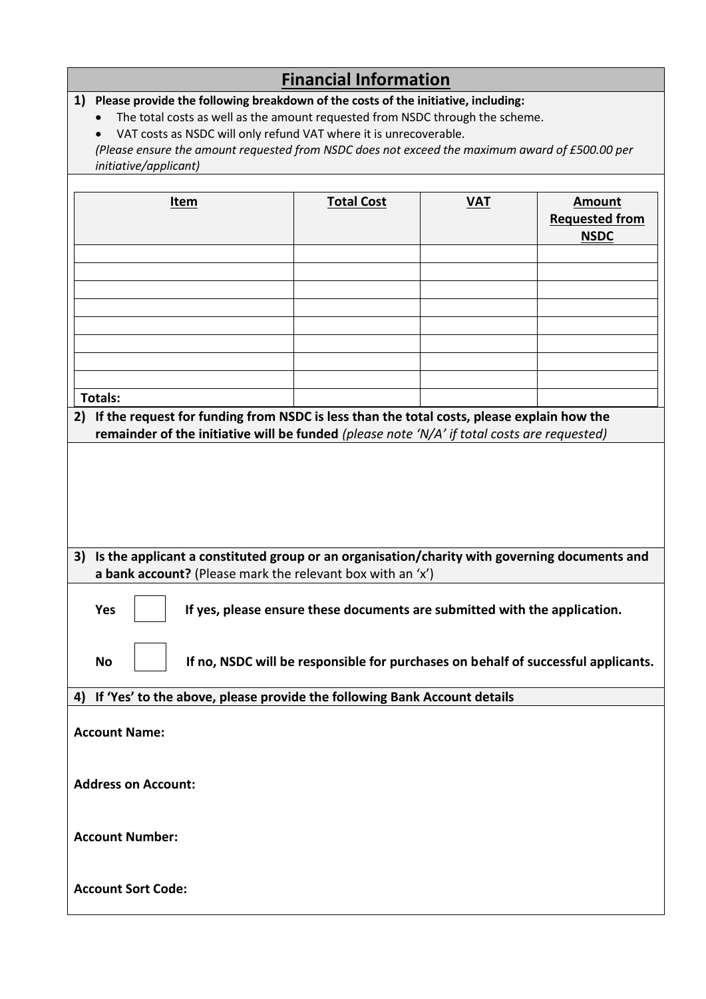# **Financial Information**

# **1) Please provide the following breakdown of the costs of the initiative, including:**

- The total costs as well as the amount requested from NSDC through the scheme.
- VAT costs as NSDC will only refund VAT where it is unrecoverable.

*(Please ensure the amount requested from NSDC does not exceed the maximum award of £500.00 per initiative/applicant)*

| Item                                                                                               | <b>Total Cost</b> | <b>VAT</b> | <b>Amount</b><br><b>Requested from</b><br><b>NSDC</b> |  |
|----------------------------------------------------------------------------------------------------|-------------------|------------|-------------------------------------------------------|--|
|                                                                                                    |                   |            |                                                       |  |
|                                                                                                    |                   |            |                                                       |  |
|                                                                                                    |                   |            |                                                       |  |
|                                                                                                    |                   |            |                                                       |  |
|                                                                                                    |                   |            |                                                       |  |
| <b>Totals:</b>                                                                                     |                   |            |                                                       |  |
| 2) If the request for funding from NSDC is less than the total costs, please explain how the       |                   |            |                                                       |  |
| remainder of the initiative will be funded (please note 'N/A' if total costs are requested)        |                   |            |                                                       |  |
|                                                                                                    |                   |            |                                                       |  |
|                                                                                                    |                   |            |                                                       |  |
|                                                                                                    |                   |            |                                                       |  |
| Is the applicant a constituted group or an organisation/charity with governing documents and<br>3) |                   |            |                                                       |  |
| a bank account? (Please mark the relevant box with an 'x')                                         |                   |            |                                                       |  |
| <b>Yes</b><br>If yes, please ensure these documents are submitted with the application.            |                   |            |                                                       |  |
| If no, NSDC will be responsible for purchases on behalf of successful applicants.<br><b>No</b>     |                   |            |                                                       |  |
| If 'Yes' to the above, please provide the following Bank Account details<br>4)                     |                   |            |                                                       |  |
|                                                                                                    |                   |            |                                                       |  |
| <b>Account Name:</b>                                                                               |                   |            |                                                       |  |
|                                                                                                    |                   |            |                                                       |  |
| <b>Address on Account:</b>                                                                         |                   |            |                                                       |  |
|                                                                                                    |                   |            |                                                       |  |
| <b>Account Number:</b>                                                                             |                   |            |                                                       |  |
|                                                                                                    |                   |            |                                                       |  |
| <b>Account Sort Code:</b>                                                                          |                   |            |                                                       |  |